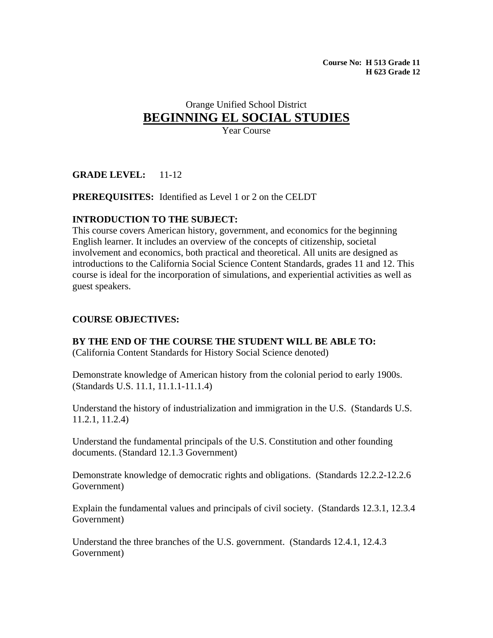**Course No: H 513 Grade 11 H 623 Grade 12** 

# Orange Unified School District **BEGINNING EL SOCIAL STUDIES** Year Course

**GRADE LEVEL:** 11-12

#### **PREREQUISITES:** Identified as Level 1 or 2 on the CELDT

#### **INTRODUCTION TO THE SUBJECT:**

This course covers American history, government, and economics for the beginning English learner. It includes an overview of the concepts of citizenship, societal involvement and economics, both practical and theoretical. All units are designed as introductions to the California Social Science Content Standards, grades 11 and 12. This course is ideal for the incorporation of simulations, and experiential activities as well as guest speakers.

#### **COURSE OBJECTIVES:**

**BY THE END OF THE COURSE THE STUDENT WILL BE ABLE TO:** 

(California Content Standards for History Social Science denoted)

Demonstrate knowledge of American history from the colonial period to early 1900s. (Standards U.S. 11.1, 11.1.1-11.1.4)

Understand the history of industrialization and immigration in the U.S. (Standards U.S. 11.2.1, 11.2.4)

Understand the fundamental principals of the U.S. Constitution and other founding documents. (Standard 12.1.3 Government)

Demonstrate knowledge of democratic rights and obligations. (Standards 12.2.2-12.2.6 Government)

Explain the fundamental values and principals of civil society. (Standards 12.3.1, 12.3.4 Government)

Understand the three branches of the U.S. government. (Standards 12.4.1, 12.4.3 Government)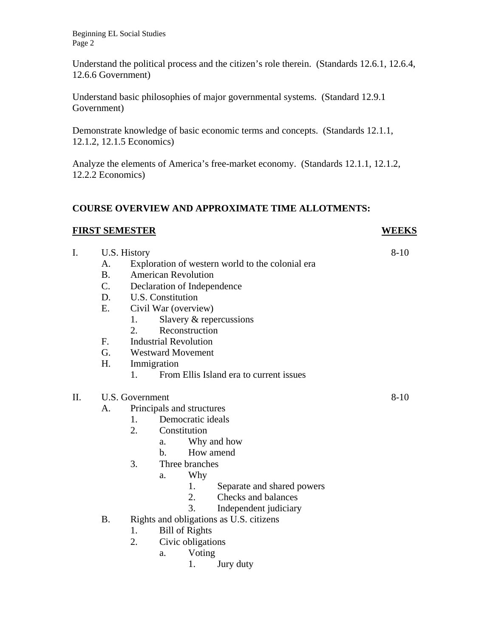Beginning EL Social Studies Page 2

Understand the political process and the citizen's role therein. (Standards 12.6.1, 12.6.4, 12.6.6 Government)

Understand basic philosophies of major governmental systems. (Standard 12.9.1 Government)

Demonstrate knowledge of basic economic terms and concepts. (Standards 12.1.1, 12.1.2, 12.1.5 Economics)

Analyze the elements of America's free-market economy. (Standards 12.1.1, 12.1.2, 12.2.2 Economics)

# **COURSE OVERVIEW AND APPROXIMATE TIME ALLOTMENTS:**

#### **FIRST SEMESTER WEEKS**

- I. U.S. History 8-10 A. Exploration of western world to the colonial era B. American Revolution C. Declaration of Independence D. U.S. Constitution E. Civil War (overview)
	- 1. Slavery & repercussions
	- 2. Reconstruction
	- F. Industrial Revolution
	- G. Westward Movement
	- H. Immigration
		- 1. From Ellis Island era to current issues

# II. U.S. Government 8-10

A. Principals and structures

- 1. Democratic ideals
- 2. Constitution
	- a. Why and how
	- b. How amend
- 3. Three branches
	- a. Why
		- 1. Separate and shared powers
		- 2. Checks and balances
		- 3. Independent judiciary
- B. Rights and obligations as U.S. citizens
	- 1. Bill of Rights
	- 2. Civic obligations
		- a. Voting
			- 1. Jury duty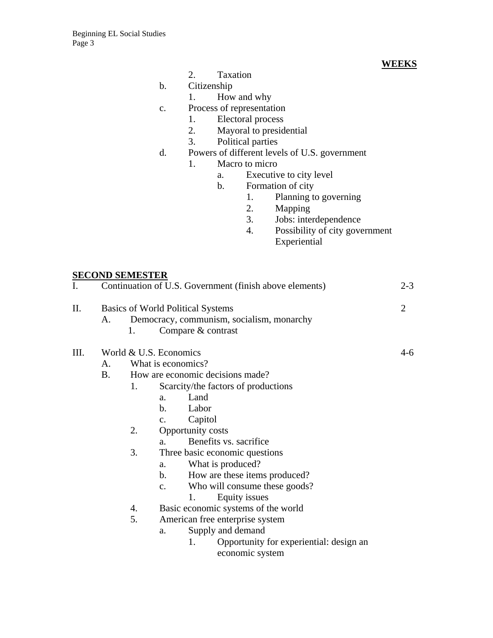- 2. Taxation **WEEKS Taxation**
- b. Citizenship
	- 1. How and why
- c. Process of representation
	- 1. Electoral process<br>2. Mayoral to presidents
	- Mayoral to presidential
	- 3. Political parties
- d. Powers of different levels of U.S. government
	- 1. Macro to micro
		- a. Executive to city level
		- b. Formation of city
			- 1. Planning to governing
			- 2. Mapping<br>3. Jobs: inte
			- Jobs: interdependence
			- 4. Possibility of city government Experiential

#### **SECOND SEMESTER**

| I. | $2 - 3$<br>Continuation of U.S. Government (finish above elements) |                                           |                                                |  |  |
|----|--------------------------------------------------------------------|-------------------------------------------|------------------------------------------------|--|--|
| Π. | <b>Basics of World Political Systems</b>                           |                                           |                                                |  |  |
|    | A.                                                                 | Democracy, communism, socialism, monarchy |                                                |  |  |
|    |                                                                    | 1.                                        | Compare & contrast                             |  |  |
| Ш. | World & U.S. Economics                                             | 4-6                                       |                                                |  |  |
|    | A.                                                                 |                                           |                                                |  |  |
|    | B.                                                                 | How are economic decisions made?          |                                                |  |  |
|    |                                                                    | 1.                                        | Scarcity/the factors of productions            |  |  |
|    |                                                                    |                                           | Land<br>a.                                     |  |  |
|    |                                                                    |                                           | $\mathbf{b}$ .<br>Labor                        |  |  |
|    |                                                                    |                                           | Capitol<br>c.                                  |  |  |
|    |                                                                    | 2.                                        | Opportunity costs                              |  |  |
|    |                                                                    |                                           | Benefits vs. sacrifice<br>a.                   |  |  |
|    |                                                                    | 3.                                        | Three basic economic questions                 |  |  |
|    |                                                                    |                                           | What is produced?<br>a.                        |  |  |
|    |                                                                    |                                           | How are these items produced?<br>$\mathbf b$ . |  |  |
|    |                                                                    |                                           | Who will consume these goods?<br>$C_{\bullet}$ |  |  |
|    |                                                                    |                                           | 1.<br>Equity issues                            |  |  |
|    |                                                                    | 4.                                        | Basic economic systems of the world            |  |  |
|    |                                                                    | 5.                                        | American free enterprise system                |  |  |
|    |                                                                    |                                           | Supply and demand<br>a.                        |  |  |
|    |                                                                    |                                           | Opportunity for experiential: design an<br>1.  |  |  |
|    |                                                                    |                                           | economic system                                |  |  |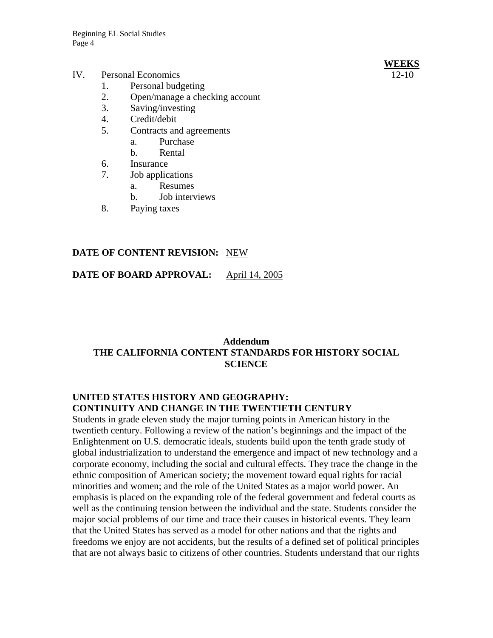#### IV. Personal Economics 12-10

- 1. Personal budgeting
- 2. Open/manage a checking account
- 3. Saving/investing
- 4. Credit/debit
- 5. Contracts and agreements
	- a. Purchase
	- b. Rental
- 6. Insurance
- 7. Job applications
	- a. Resumes
	- b. Job interviews
- 8. Paying taxes

# **DATE OF CONTENT REVISION:** NEW

**DATE OF BOARD APPROVAL:** April 14, 2005

# **Addendum THE CALIFORNIA CONTENT STANDARDS FOR HISTORY SOCIAL SCIENCE**

# **UNITED STATES HISTORY AND GEOGRAPHY: CONTINUITY AND CHANGE IN THE TWENTIETH CENTURY**

Students in grade eleven study the major turning points in American history in the twentieth century. Following a review of the nation's beginnings and the impact of the Enlightenment on U.S. democratic ideals, students build upon the tenth grade study of global industrialization to understand the emergence and impact of new technology and a corporate economy, including the social and cultural effects. They trace the change in the ethnic composition of American society; the movement toward equal rights for racial minorities and women; and the role of the United States as a major world power. An emphasis is placed on the expanding role of the federal government and federal courts as well as the continuing tension between the individual and the state. Students consider the major social problems of our time and trace their causes in historical events. They learn that the United States has served as a model for other nations and that the rights and freedoms we enjoy are not accidents, but the results of a defined set of political principles that are not always basic to citizens of other countries. Students understand that our rights

# **WEEKS**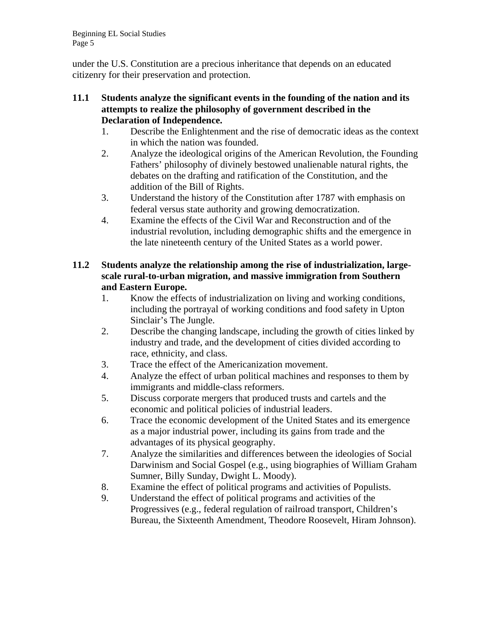Beginning EL Social Studies Page 5

under the U.S. Constitution are a precious inheritance that depends on an educated citizenry for their preservation and protection.

#### **11.1 Students analyze the significant events in the founding of the nation and its attempts to realize the philosophy of government described in the Declaration of Independence.**

- 1. Describe the Enlightenment and the rise of democratic ideas as the context in which the nation was founded.
- 2. Analyze the ideological origins of the American Revolution, the Founding Fathers' philosophy of divinely bestowed unalienable natural rights, the debates on the drafting and ratification of the Constitution, and the addition of the Bill of Rights.
- 3. Understand the history of the Constitution after 1787 with emphasis on federal versus state authority and growing democratization.
- 4. Examine the effects of the Civil War and Reconstruction and of the industrial revolution, including demographic shifts and the emergence in the late nineteenth century of the United States as a world power.

# **11.2 Students analyze the relationship among the rise of industrialization, largescale rural-to-urban migration, and massive immigration from Southern and Eastern Europe.**

- 1. Know the effects of industrialization on living and working conditions, including the portrayal of working conditions and food safety in Upton Sinclair's The Jungle.
- 2. Describe the changing landscape, including the growth of cities linked by industry and trade, and the development of cities divided according to race, ethnicity, and class.
- 3. Trace the effect of the Americanization movement.
- 4. Analyze the effect of urban political machines and responses to them by immigrants and middle-class reformers.
- 5. Discuss corporate mergers that produced trusts and cartels and the economic and political policies of industrial leaders.
- 6. Trace the economic development of the United States and its emergence as a major industrial power, including its gains from trade and the advantages of its physical geography.
- 7. Analyze the similarities and differences between the ideologies of Social Darwinism and Social Gospel (e.g., using biographies of William Graham Sumner, Billy Sunday, Dwight L. Moody).
- 8. Examine the effect of political programs and activities of Populists.
- 9. Understand the effect of political programs and activities of the Progressives (e.g., federal regulation of railroad transport, Children's Bureau, the Sixteenth Amendment, Theodore Roosevelt, Hiram Johnson).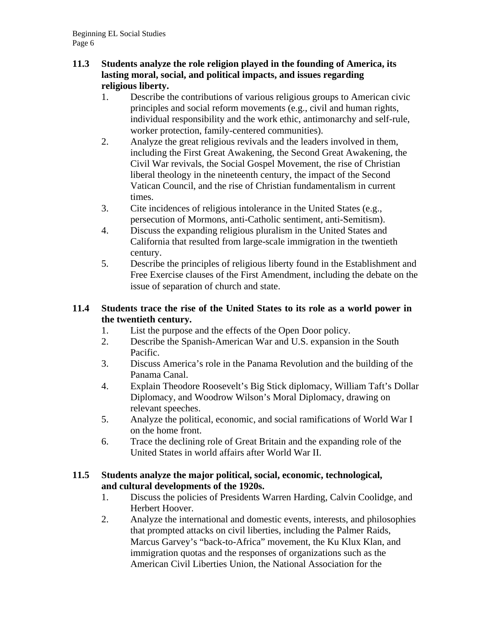# **11.3 Students analyze the role religion played in the founding of America, its lasting moral, social, and political impacts, and issues regarding religious liberty.**

- 1. Describe the contributions of various religious groups to American civic principles and social reform movements (e.g., civil and human rights, individual responsibility and the work ethic, antimonarchy and self-rule, worker protection, family-centered communities).
- 2. Analyze the great religious revivals and the leaders involved in them, including the First Great Awakening, the Second Great Awakening, the Civil War revivals, the Social Gospel Movement, the rise of Christian liberal theology in the nineteenth century, the impact of the Second Vatican Council, and the rise of Christian fundamentalism in current times.
- 3. Cite incidences of religious intolerance in the United States (e.g., persecution of Mormons, anti-Catholic sentiment, anti-Semitism).
- 4. Discuss the expanding religious pluralism in the United States and California that resulted from large-scale immigration in the twentieth century.
- 5. Describe the principles of religious liberty found in the Establishment and Free Exercise clauses of the First Amendment, including the debate on the issue of separation of church and state.

# **11.4 Students trace the rise of the United States to its role as a world power in the twentieth century.**

- 1. List the purpose and the effects of the Open Door policy.
- 2. Describe the Spanish-American War and U.S. expansion in the South Pacific.
- 3. Discuss America's role in the Panama Revolution and the building of the Panama Canal.
- 4. Explain Theodore Roosevelt's Big Stick diplomacy, William Taft's Dollar Diplomacy, and Woodrow Wilson's Moral Diplomacy, drawing on relevant speeches.
- 5. Analyze the political, economic, and social ramifications of World War I on the home front.
- 6. Trace the declining role of Great Britain and the expanding role of the United States in world affairs after World War II.

# **11.5 Students analyze the major political, social, economic, technological, and cultural developments of the 1920s.**

- 1. Discuss the policies of Presidents Warren Harding, Calvin Coolidge, and Herbert Hoover.
- 2. Analyze the international and domestic events, interests, and philosophies that prompted attacks on civil liberties, including the Palmer Raids, Marcus Garvey's "back-to-Africa" movement, the Ku Klux Klan, and immigration quotas and the responses of organizations such as the American Civil Liberties Union, the National Association for the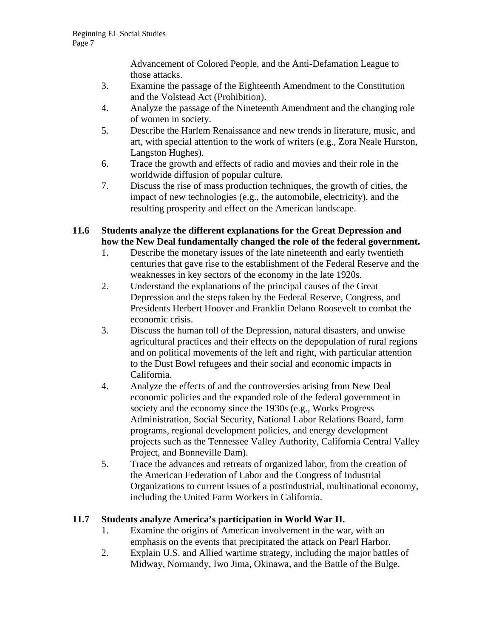Advancement of Colored People, and the Anti-Defamation League to those attacks.

- 3. Examine the passage of the Eighteenth Amendment to the Constitution and the Volstead Act (Prohibition).
- 4. Analyze the passage of the Nineteenth Amendment and the changing role of women in society.
- 5. Describe the Harlem Renaissance and new trends in literature, music, and art, with special attention to the work of writers (e.g., Zora Neale Hurston, Langston Hughes).
- 6. Trace the growth and effects of radio and movies and their role in the worldwide diffusion of popular culture.
- 7. Discuss the rise of mass production techniques, the growth of cities, the impact of new technologies (e.g., the automobile, electricity), and the resulting prosperity and effect on the American landscape.

# **11.6 Students analyze the different explanations for the Great Depression and how the New Deal fundamentally changed the role of the federal government.**

- 1. Describe the monetary issues of the late nineteenth and early twentieth centuries that gave rise to the establishment of the Federal Reserve and the weaknesses in key sectors of the economy in the late 1920s.
- 2. Understand the explanations of the principal causes of the Great Depression and the steps taken by the Federal Reserve, Congress, and Presidents Herbert Hoover and Franklin Delano Roosevelt to combat the economic crisis.
- 3. Discuss the human toll of the Depression, natural disasters, and unwise agricultural practices and their effects on the depopulation of rural regions and on political movements of the left and right, with particular attention to the Dust Bowl refugees and their social and economic impacts in California.
- 4. Analyze the effects of and the controversies arising from New Deal economic policies and the expanded role of the federal government in society and the economy since the 1930s (e.g., Works Progress Administration, Social Security, National Labor Relations Board, farm programs, regional development policies, and energy development projects such as the Tennessee Valley Authority, California Central Valley Project, and Bonneville Dam).
- 5. Trace the advances and retreats of organized labor, from the creation of the American Federation of Labor and the Congress of Industrial Organizations to current issues of a postindustrial, multinational economy, including the United Farm Workers in California.

# **11.7 Students analyze America's participation in World War II.**

- 1. Examine the origins of American involvement in the war, with an emphasis on the events that precipitated the attack on Pearl Harbor.
- 2. Explain U.S. and Allied wartime strategy, including the major battles of Midway, Normandy, Iwo Jima, Okinawa, and the Battle of the Bulge.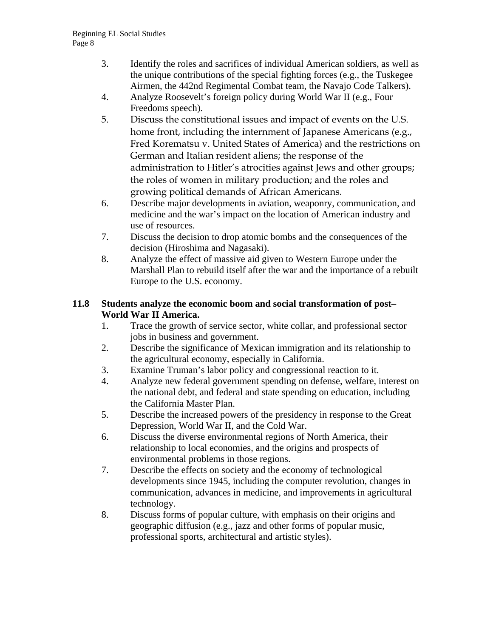- 3. Identify the roles and sacrifices of individual American soldiers, as well as the unique contributions of the special fighting forces (e.g., the Tuskegee Airmen, the 442nd Regimental Combat team, the Navajo Code Talkers).
- 4. Analyze Roosevelt's foreign policy during World War II (e.g., Four Freedoms speech).
- 5. Discuss the constitutional issues and impact of events on the U.S. home front, including the internment of Japanese Americans (e.g., Fred Korematsu v. United States of America) and the restrictions on German and Italian resident aliens; the response of the administration to Hitler's atrocities against Jews and other groups; the roles of women in military production; and the roles and growing political demands of African Americans.
- 6. Describe major developments in aviation, weaponry, communication, and medicine and the war's impact on the location of American industry and use of resources.
- 7. Discuss the decision to drop atomic bombs and the consequences of the decision (Hiroshima and Nagasaki).
- 8. Analyze the effect of massive aid given to Western Europe under the Marshall Plan to rebuild itself after the war and the importance of a rebuilt Europe to the U.S. economy.

# **11.8 Students analyze the economic boom and social transformation of post– World War II America.**

- 1. Trace the growth of service sector, white collar, and professional sector jobs in business and government.
- 2. Describe the significance of Mexican immigration and its relationship to the agricultural economy, especially in California.
- 3. Examine Truman's labor policy and congressional reaction to it.
- 4. Analyze new federal government spending on defense, welfare, interest on the national debt, and federal and state spending on education, including the California Master Plan.
- 5. Describe the increased powers of the presidency in response to the Great Depression, World War II, and the Cold War.
- 6. Discuss the diverse environmental regions of North America, their relationship to local economies, and the origins and prospects of environmental problems in those regions.
- 7. Describe the effects on society and the economy of technological developments since 1945, including the computer revolution, changes in communication, advances in medicine, and improvements in agricultural technology.
- 8. Discuss forms of popular culture, with emphasis on their origins and geographic diffusion (e.g., jazz and other forms of popular music, professional sports, architectural and artistic styles).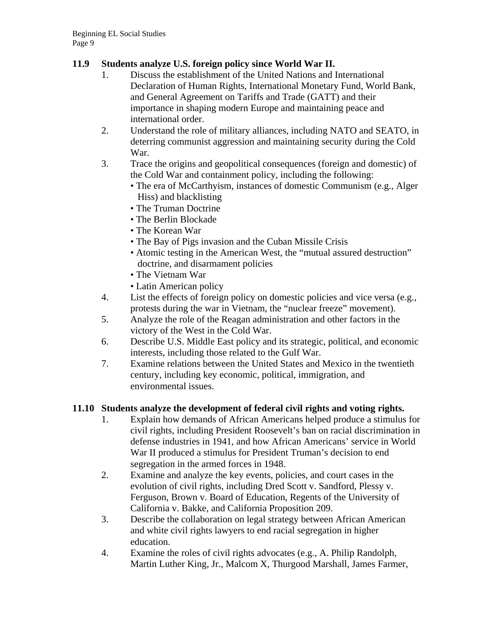# **11.9 Students analyze U.S. foreign policy since World War II.**

- 1. Discuss the establishment of the United Nations and International Declaration of Human Rights, International Monetary Fund, World Bank, and General Agreement on Tariffs and Trade (GATT) and their importance in shaping modern Europe and maintaining peace and international order.
- 2. Understand the role of military alliances, including NATO and SEATO, in deterring communist aggression and maintaining security during the Cold War.
- 3. Trace the origins and geopolitical consequences (foreign and domestic) of the Cold War and containment policy, including the following:
	- The era of McCarthyism, instances of domestic Communism (e.g., Alger Hiss) and blacklisting
	- The Truman Doctrine
	- The Berlin Blockade
	- The Korean War
	- The Bay of Pigs invasion and the Cuban Missile Crisis
	- Atomic testing in the American West, the "mutual assured destruction" doctrine, and disarmament policies
	- The Vietnam War
	- Latin American policy
- 4. List the effects of foreign policy on domestic policies and vice versa (e.g., protests during the war in Vietnam, the "nuclear freeze" movement).
- 5. Analyze the role of the Reagan administration and other factors in the victory of the West in the Cold War.
- 6. Describe U.S. Middle East policy and its strategic, political, and economic interests, including those related to the Gulf War.
- 7. Examine relations between the United States and Mexico in the twentieth century, including key economic, political, immigration, and environmental issues.

# **11.10 Students analyze the development of federal civil rights and voting rights.**

- 1. Explain how demands of African Americans helped produce a stimulus for civil rights, including President Roosevelt's ban on racial discrimination in defense industries in 1941, and how African Americans' service in World War II produced a stimulus for President Truman's decision to end segregation in the armed forces in 1948.
- 2. Examine and analyze the key events, policies, and court cases in the evolution of civil rights, including Dred Scott v. Sandford, Plessy v. Ferguson, Brown v. Board of Education, Regents of the University of California v. Bakke, and California Proposition 209.
- 3. Describe the collaboration on legal strategy between African American and white civil rights lawyers to end racial segregation in higher education.
- 4. Examine the roles of civil rights advocates (e.g., A. Philip Randolph, Martin Luther King, Jr., Malcom X, Thurgood Marshall, James Farmer,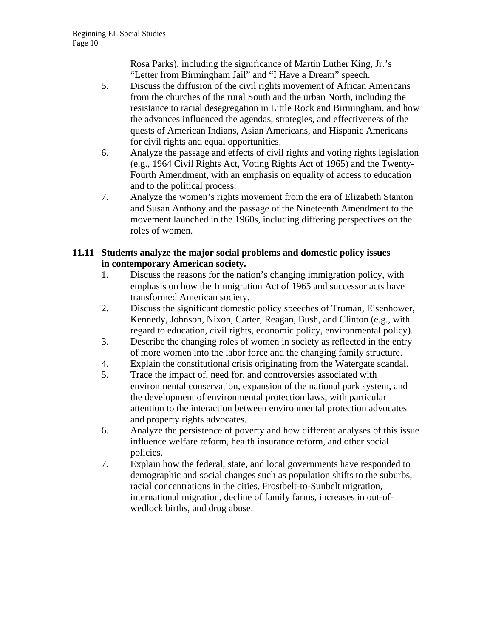Rosa Parks), including the significance of Martin Luther King, Jr.'s "Letter from Birmingham Jail" and "I Have a Dream" speech.

- 5. Discuss the diffusion of the civil rights movement of African Americans from the churches of the rural South and the urban North, including the resistance to racial desegregation in Little Rock and Birmingham, and how the advances influenced the agendas, strategies, and effectiveness of the quests of American Indians, Asian Americans, and Hispanic Americans for civil rights and equal opportunities.
- 6. Analyze the passage and effects of civil rights and voting rights legislation (e.g., 1964 Civil Rights Act, Voting Rights Act of 1965) and the Twenty-Fourth Amendment, with an emphasis on equality of access to education and to the political process.
- 7. Analyze the women's rights movement from the era of Elizabeth Stanton and Susan Anthony and the passage of the Nineteenth Amendment to the movement launched in the 1960s, including differing perspectives on the roles of women.

# **11.11 Students analyze the major social problems and domestic policy issues in contemporary American society.**

- 1. Discuss the reasons for the nation's changing immigration policy, with emphasis on how the Immigration Act of 1965 and successor acts have transformed American society.
- 2. Discuss the significant domestic policy speeches of Truman, Eisenhower, Kennedy, Johnson, Nixon, Carter, Reagan, Bush, and Clinton (e.g., with regard to education, civil rights, economic policy, environmental policy).
- 3. Describe the changing roles of women in society as reflected in the entry of more women into the labor force and the changing family structure.
- 4. Explain the constitutional crisis originating from the Watergate scandal.
- 5. Trace the impact of, need for, and controversies associated with environmental conservation, expansion of the national park system, and the development of environmental protection laws, with particular attention to the interaction between environmental protection advocates and property rights advocates.
- 6. Analyze the persistence of poverty and how different analyses of this issue influence welfare reform, health insurance reform, and other social policies.
- 7. Explain how the federal, state, and local governments have responded to demographic and social changes such as population shifts to the suburbs, racial concentrations in the cities, Frostbelt-to-Sunbelt migration, international migration, decline of family farms, increases in out-ofwedlock births, and drug abuse.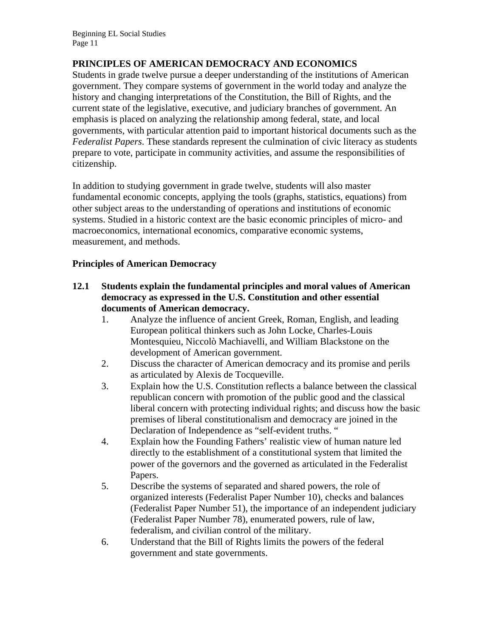# **PRINCIPLES OF AMERICAN DEMOCRACY AND ECONOMICS**

Students in grade twelve pursue a deeper understanding of the institutions of American government. They compare systems of government in the world today and analyze the history and changing interpretations of the Constitution, the Bill of Rights, and the current state of the legislative, executive, and judiciary branches of government. An emphasis is placed on analyzing the relationship among federal, state, and local governments, with particular attention paid to important historical documents such as the *Federalist Papers*. These standards represent the culmination of civic literacy as students prepare to vote, participate in community activities, and assume the responsibilities of citizenship.

In addition to studying government in grade twelve, students will also master fundamental economic concepts, applying the tools (graphs, statistics, equations) from other subject areas to the understanding of operations and institutions of economic systems. Studied in a historic context are the basic economic principles of micro- and macroeconomics, international economics, comparative economic systems, measurement, and methods.

# **Principles of American Democracy**

- **12.1 Students explain the fundamental principles and moral values of American democracy as expressed in the U.S. Constitution and other essential documents of American democracy.** 
	- 1. Analyze the influence of ancient Greek, Roman, English, and leading European political thinkers such as John Locke, Charles-Louis Montesquieu, Niccolò Machiavelli, and William Blackstone on the development of American government.
	- 2. Discuss the character of American democracy and its promise and perils as articulated by Alexis de Tocqueville.
	- 3. Explain how the U.S. Constitution reflects a balance between the classical republican concern with promotion of the public good and the classical liberal concern with protecting individual rights; and discuss how the basic premises of liberal constitutionalism and democracy are joined in the Declaration of Independence as "self-evident truths. "
	- 4. Explain how the Founding Fathers' realistic view of human nature led directly to the establishment of a constitutional system that limited the power of the governors and the governed as articulated in the Federalist Papers.
	- 5. Describe the systems of separated and shared powers, the role of organized interests (Federalist Paper Number 10), checks and balances (Federalist Paper Number 51), the importance of an independent judiciary (Federalist Paper Number 78), enumerated powers, rule of law, federalism, and civilian control of the military.
	- 6. Understand that the Bill of Rights limits the powers of the federal government and state governments.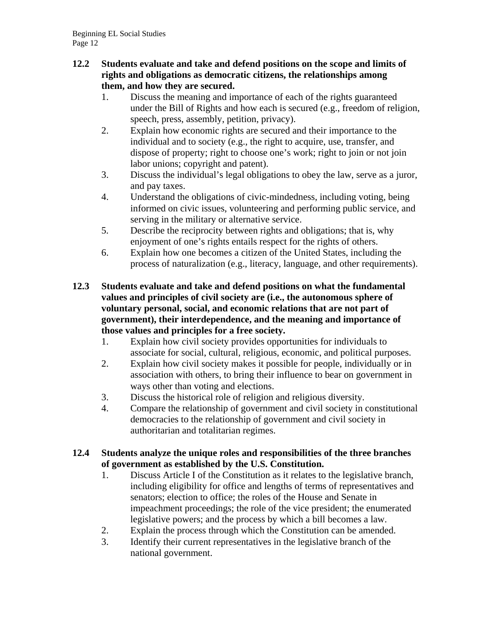#### **12.2 Students evaluate and take and defend positions on the scope and limits of rights and obligations as democratic citizens, the relationships among them, and how they are secured.**

- 1. Discuss the meaning and importance of each of the rights guaranteed under the Bill of Rights and how each is secured (e.g., freedom of religion, speech, press, assembly, petition, privacy).
- 2. Explain how economic rights are secured and their importance to the individual and to society (e.g., the right to acquire, use, transfer, and dispose of property; right to choose one's work; right to join or not join labor unions; copyright and patent).
- 3. Discuss the individual's legal obligations to obey the law, serve as a juror, and pay taxes.
- 4. Understand the obligations of civic-mindedness, including voting, being informed on civic issues, volunteering and performing public service, and serving in the military or alternative service.
- 5. Describe the reciprocity between rights and obligations; that is, why enjoyment of one's rights entails respect for the rights of others.
- 6. Explain how one becomes a citizen of the United States, including the process of naturalization (e.g., literacy, language, and other requirements).
- **12.3 Students evaluate and take and defend positions on what the fundamental values and principles of civil society are (i.e., the autonomous sphere of voluntary personal, social, and economic relations that are not part of government), their interdependence, and the meaning and importance of those values and principles for a free society.** 
	- 1. Explain how civil society provides opportunities for individuals to associate for social, cultural, religious, economic, and political purposes.
	- 2. Explain how civil society makes it possible for people, individually or in association with others, to bring their influence to bear on government in ways other than voting and elections.
	- 3. Discuss the historical role of religion and religious diversity.
	- 4. Compare the relationship of government and civil society in constitutional democracies to the relationship of government and civil society in authoritarian and totalitarian regimes.

# **12.4 Students analyze the unique roles and responsibilities of the three branches of government as established by the U.S. Constitution.**

- 1. Discuss Article I of the Constitution as it relates to the legislative branch, including eligibility for office and lengths of terms of representatives and senators; election to office; the roles of the House and Senate in impeachment proceedings; the role of the vice president; the enumerated legislative powers; and the process by which a bill becomes a law.
- 2. Explain the process through which the Constitution can be amended.
- 3. Identify their current representatives in the legislative branch of the national government.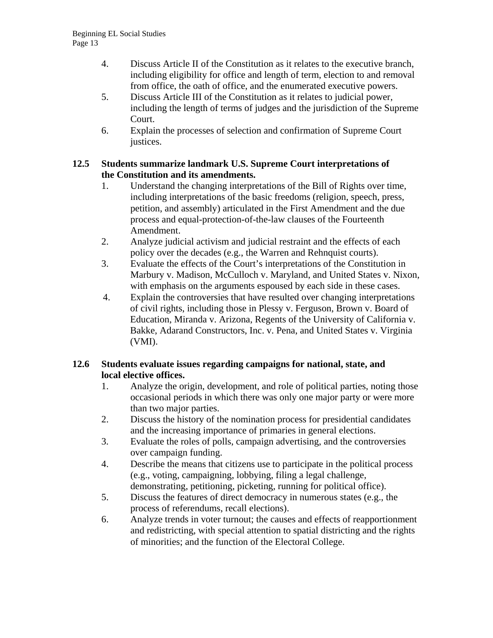- 4. Discuss Article II of the Constitution as it relates to the executive branch, including eligibility for office and length of term, election to and removal from office, the oath of office, and the enumerated executive powers.
- 5. Discuss Article III of the Constitution as it relates to judicial power, including the length of terms of judges and the jurisdiction of the Supreme Court.
- 6. Explain the processes of selection and confirmation of Supreme Court justices.

# **12.5 Students summarize landmark U.S. Supreme Court interpretations of the Constitution and its amendments.**

- 1. Understand the changing interpretations of the Bill of Rights over time, including interpretations of the basic freedoms (religion, speech, press, petition, and assembly) articulated in the First Amendment and the due process and equal-protection-of-the-law clauses of the Fourteenth Amendment.
- 2. Analyze judicial activism and judicial restraint and the effects of each policy over the decades (e.g., the Warren and Rehnquist courts).
- 3. Evaluate the effects of the Court's interpretations of the Constitution in Marbury v. Madison, McCulloch v. Maryland, and United States v. Nixon, with emphasis on the arguments espoused by each side in these cases.
- 4. Explain the controversies that have resulted over changing interpretations of civil rights, including those in Plessy v. Ferguson, Brown v. Board of Education, Miranda v. Arizona, Regents of the University of California v. Bakke, Adarand Constructors, Inc. v. Pena, and United States v. Virginia (VMI).

# **12.6 Students evaluate issues regarding campaigns for national, state, and local elective offices.**

- 1. Analyze the origin, development, and role of political parties, noting those occasional periods in which there was only one major party or were more than two major parties.
- 2. Discuss the history of the nomination process for presidential candidates and the increasing importance of primaries in general elections.
- 3. Evaluate the roles of polls, campaign advertising, and the controversies over campaign funding.
- 4. Describe the means that citizens use to participate in the political process (e.g., voting, campaigning, lobbying, filing a legal challenge, demonstrating, petitioning, picketing, running for political office).
- 5. Discuss the features of direct democracy in numerous states (e.g., the process of referendums, recall elections).
- 6. Analyze trends in voter turnout; the causes and effects of reapportionment and redistricting, with special attention to spatial districting and the rights of minorities; and the function of the Electoral College.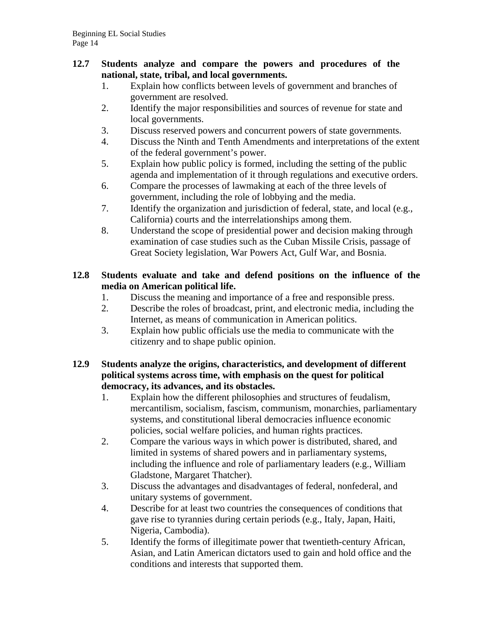#### **12.7 Students analyze and compare the powers and procedures of the national, state, tribal, and local governments.**

- 1. Explain how conflicts between levels of government and branches of government are resolved.
- 2. Identify the major responsibilities and sources of revenue for state and local governments.
- 3. Discuss reserved powers and concurrent powers of state governments.
- 4. Discuss the Ninth and Tenth Amendments and interpretations of the extent of the federal government's power.
- 5. Explain how public policy is formed, including the setting of the public agenda and implementation of it through regulations and executive orders.
- 6. Compare the processes of lawmaking at each of the three levels of government, including the role of lobbying and the media.
- 7. Identify the organization and jurisdiction of federal, state, and local (e.g., California) courts and the interrelationships among them.
- 8. Understand the scope of presidential power and decision making through examination of case studies such as the Cuban Missile Crisis, passage of Great Society legislation, War Powers Act, Gulf War, and Bosnia.

# **12.8 Students evaluate and take and defend positions on the influence of the media on American political life.**

- 1. Discuss the meaning and importance of a free and responsible press.
- 2. Describe the roles of broadcast, print, and electronic media, including the Internet, as means of communication in American politics.
- 3. Explain how public officials use the media to communicate with the citizenry and to shape public opinion.

# **12.9 Students analyze the origins, characteristics, and development of different political systems across time, with emphasis on the quest for political democracy, its advances, and its obstacles.**

- 1. Explain how the different philosophies and structures of feudalism, mercantilism, socialism, fascism, communism, monarchies, parliamentary systems, and constitutional liberal democracies influence economic policies, social welfare policies, and human rights practices.
- 2. Compare the various ways in which power is distributed, shared, and limited in systems of shared powers and in parliamentary systems, including the influence and role of parliamentary leaders (e.g., William Gladstone, Margaret Thatcher).
- 3. Discuss the advantages and disadvantages of federal, nonfederal, and unitary systems of government.
- 4. Describe for at least two countries the consequences of conditions that gave rise to tyrannies during certain periods (e.g., Italy, Japan, Haiti, Nigeria, Cambodia).
- 5. Identify the forms of illegitimate power that twentieth-century African, Asian, and Latin American dictators used to gain and hold office and the conditions and interests that supported them.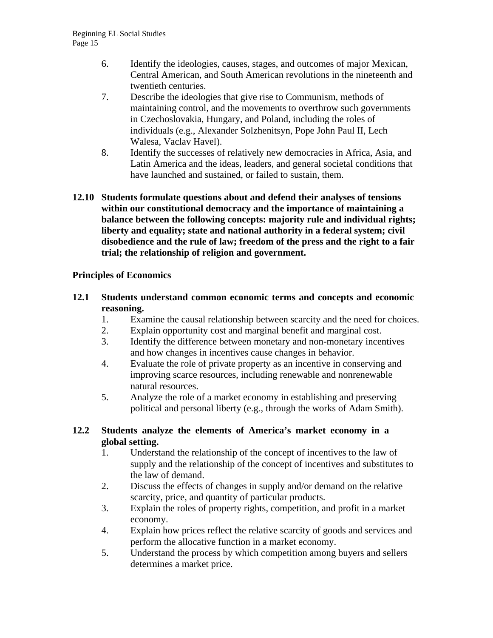- 6. Identify the ideologies, causes, stages, and outcomes of major Mexican, Central American, and South American revolutions in the nineteenth and twentieth centuries.
- 7. Describe the ideologies that give rise to Communism, methods of maintaining control, and the movements to overthrow such governments in Czechoslovakia, Hungary, and Poland, including the roles of individuals (e.g., Alexander Solzhenitsyn, Pope John Paul II, Lech Walesa, Vaclav Havel).
- 8. Identify the successes of relatively new democracies in Africa, Asia, and Latin America and the ideas, leaders, and general societal conditions that have launched and sustained, or failed to sustain, them.
- **12.10 Students formulate questions about and defend their analyses of tensions within our constitutional democracy and the importance of maintaining a balance between the following concepts: majority rule and individual rights; liberty and equality; state and national authority in a federal system; civil disobedience and the rule of law; freedom of the press and the right to a fair trial; the relationship of religion and government.**

# **Principles of Economics**

- **12.1 Students understand common economic terms and concepts and economic reasoning.** 
	- 1. Examine the causal relationship between scarcity and the need for choices.
	- 2. Explain opportunity cost and marginal benefit and marginal cost.
	- 3. Identify the difference between monetary and non-monetary incentives and how changes in incentives cause changes in behavior.
	- 4. Evaluate the role of private property as an incentive in conserving and improving scarce resources, including renewable and nonrenewable natural resources.
	- 5. Analyze the role of a market economy in establishing and preserving political and personal liberty (e.g., through the works of Adam Smith).

# **12.2 Students analyze the elements of America's market economy in a global setting.**

- 1. Understand the relationship of the concept of incentives to the law of supply and the relationship of the concept of incentives and substitutes to the law of demand.
- 2. Discuss the effects of changes in supply and/or demand on the relative scarcity, price, and quantity of particular products.
- 3. Explain the roles of property rights, competition, and profit in a market economy.
- 4. Explain how prices reflect the relative scarcity of goods and services and perform the allocative function in a market economy.
- 5. Understand the process by which competition among buyers and sellers determines a market price.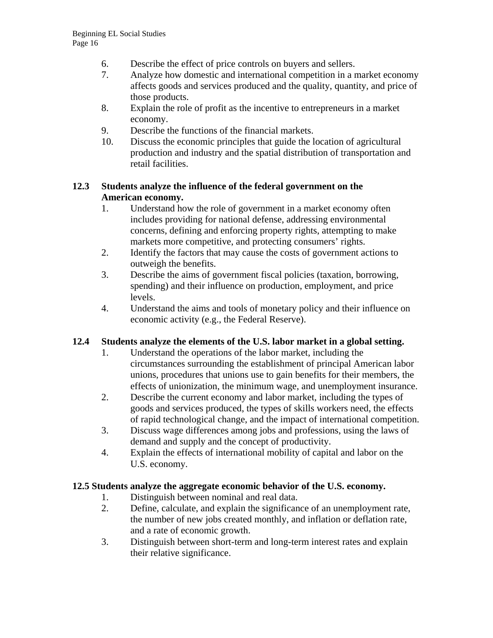- 6. Describe the effect of price controls on buyers and sellers.
- 7. Analyze how domestic and international competition in a market economy affects goods and services produced and the quality, quantity, and price of those products.
- 8. Explain the role of profit as the incentive to entrepreneurs in a market economy.
- 9. Describe the functions of the financial markets.
- 10. Discuss the economic principles that guide the location of agricultural production and industry and the spatial distribution of transportation and retail facilities.

# **12.3 Students analyze the influence of the federal government on the American economy.**

- 1. Understand how the role of government in a market economy often includes providing for national defense, addressing environmental concerns, defining and enforcing property rights, attempting to make markets more competitive, and protecting consumers' rights.
- 2. Identify the factors that may cause the costs of government actions to outweigh the benefits.
- 3. Describe the aims of government fiscal policies (taxation, borrowing, spending) and their influence on production, employment, and price levels.
- 4. Understand the aims and tools of monetary policy and their influence on economic activity (e.g., the Federal Reserve).

# **12.4 Students analyze the elements of the U.S. labor market in a global setting.**

- 1. Understand the operations of the labor market, including the circumstances surrounding the establishment of principal American labor unions, procedures that unions use to gain benefits for their members, the effects of unionization, the minimum wage, and unemployment insurance.
- 2. Describe the current economy and labor market, including the types of goods and services produced, the types of skills workers need, the effects of rapid technological change, and the impact of international competition.
- 3. Discuss wage differences among jobs and professions, using the laws of demand and supply and the concept of productivity.
- 4. Explain the effects of international mobility of capital and labor on the U.S. economy.

# **12.5 Students analyze the aggregate economic behavior of the U.S. economy.**

- 1. Distinguish between nominal and real data.
- 2. Define, calculate, and explain the significance of an unemployment rate, the number of new jobs created monthly, and inflation or deflation rate, and a rate of economic growth.
- 3. Distinguish between short-term and long-term interest rates and explain their relative significance.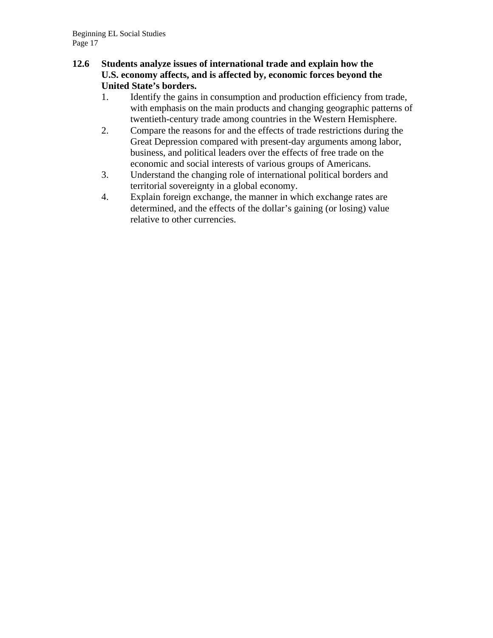# **12.6 Students analyze issues of international trade and explain how the U.S. economy affects, and is affected by, economic forces beyond the United State's borders.**

- 1. Identify the gains in consumption and production efficiency from trade, with emphasis on the main products and changing geographic patterns of twentieth-century trade among countries in the Western Hemisphere.
- 2. Compare the reasons for and the effects of trade restrictions during the Great Depression compared with present-day arguments among labor, business, and political leaders over the effects of free trade on the economic and social interests of various groups of Americans.
- 3. Understand the changing role of international political borders and territorial sovereignty in a global economy.
- 4. Explain foreign exchange, the manner in which exchange rates are determined, and the effects of the dollar's gaining (or losing) value relative to other currencies.